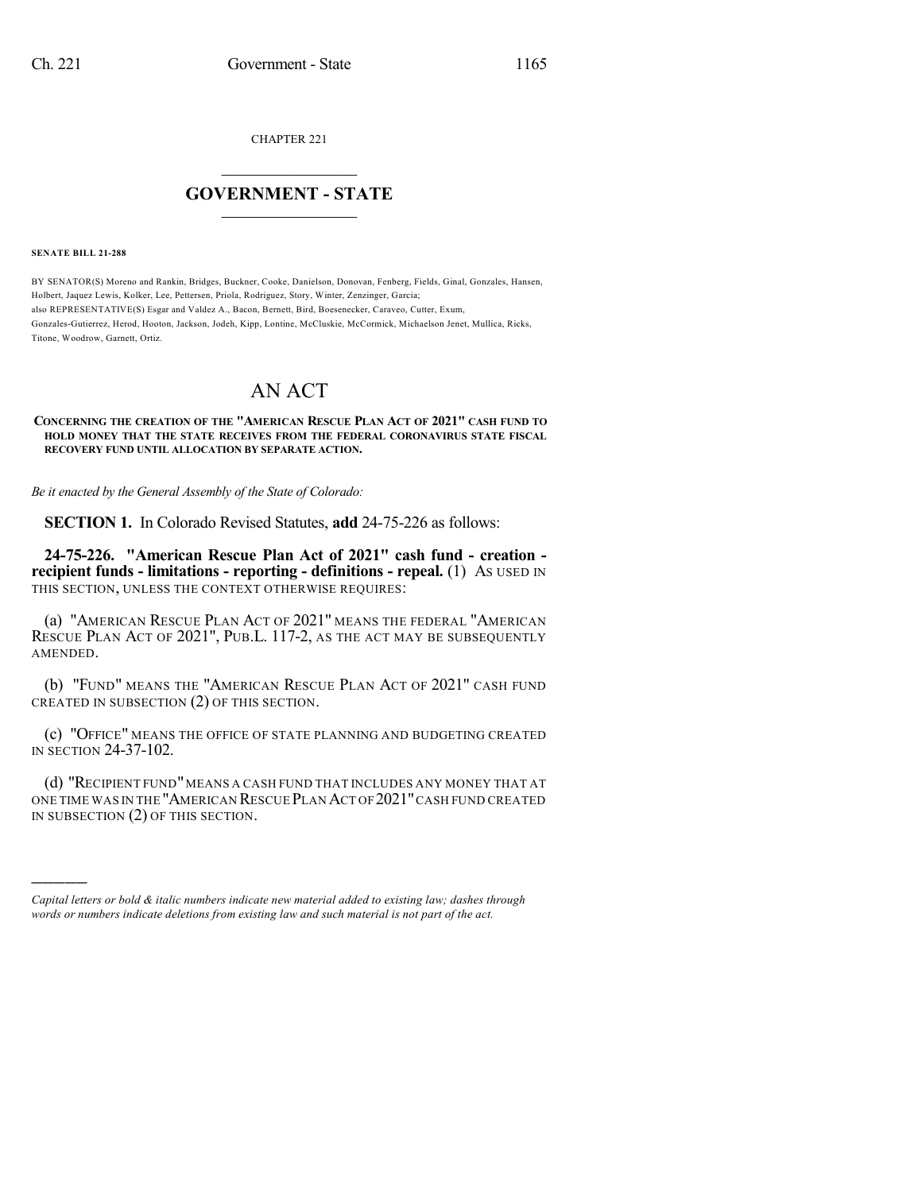CHAPTER 221

## $\overline{\phantom{a}}$  . The set of the set of the set of the set of the set of the set of the set of the set of the set of the set of the set of the set of the set of the set of the set of the set of the set of the set of the set o **GOVERNMENT - STATE**  $\_$

**SENATE BILL 21-288**

)))))

BY SENATOR(S) Moreno and Rankin, Bridges, Buckner, Cooke, Danielson, Donovan, Fenberg, Fields, Ginal, Gonzales, Hansen, Holbert, Jaquez Lewis, Kolker, Lee, Pettersen, Priola, Rodriguez, Story, Winter, Zenzinger, Garcia; also REPRESENTATIVE(S) Esgar and Valdez A., Bacon, Bernett, Bird, Boesenecker, Caraveo, Cutter, Exum, Gonzales-Gutierrez, Herod, Hooton, Jackson, Jodeh, Kipp, Lontine, McCluskie, McCormick, Michaelson Jenet, Mullica, Ricks, Titone, Woodrow, Garnett, Ortiz.

## AN ACT

## **CONCERNING THE CREATION OF THE "AMERICAN RESCUE PLAN ACT OF 2021" CASH FUND TO HOLD MONEY THAT THE STATE RECEIVES FROM THE FEDERAL CORONAVIRUS STATE FISCAL RECOVERY FUND UNTIL ALLOCATION BY SEPARATE ACTION.**

*Be it enacted by the General Assembly of the State of Colorado:*

**SECTION 1.** In Colorado Revised Statutes, **add** 24-75-226 as follows:

**24-75-226. "American Rescue Plan Act of 2021" cash fund - creation recipient funds - limitations - reporting - definitions - repeal.** (1) AS USED IN THIS SECTION, UNLESS THE CONTEXT OTHERWISE REQUIRES:

(a) "AMERICAN RESCUE PLAN ACT OF 2021" MEANS THE FEDERAL "AMERICAN RESCUE PLAN ACT OF 2021", PUB.L. 117-2, AS THE ACT MAY BE SUBSEQUENTLY AMENDED.

(b) "FUND" MEANS THE "AMERICAN RESCUE PLAN ACT OF 2021" CASH FUND CREATED IN SUBSECTION (2) OF THIS SECTION.

(c) "OFFICE" MEANS THE OFFICE OF STATE PLANNING AND BUDGETING CREATED IN SECTION 24-37-102.

(d) "RECIPIENT FUND"MEANS A CASH FUND THAT INCLUDES ANY MONEY THAT AT ONE TIME WAS IN THE "AMERICAN RESCUE PLAN ACT OF 2021"CASH FUND CREATED IN SUBSECTION (2) OF THIS SECTION.

*Capital letters or bold & italic numbers indicate new material added to existing law; dashes through words or numbers indicate deletions from existing law and such material is not part of the act.*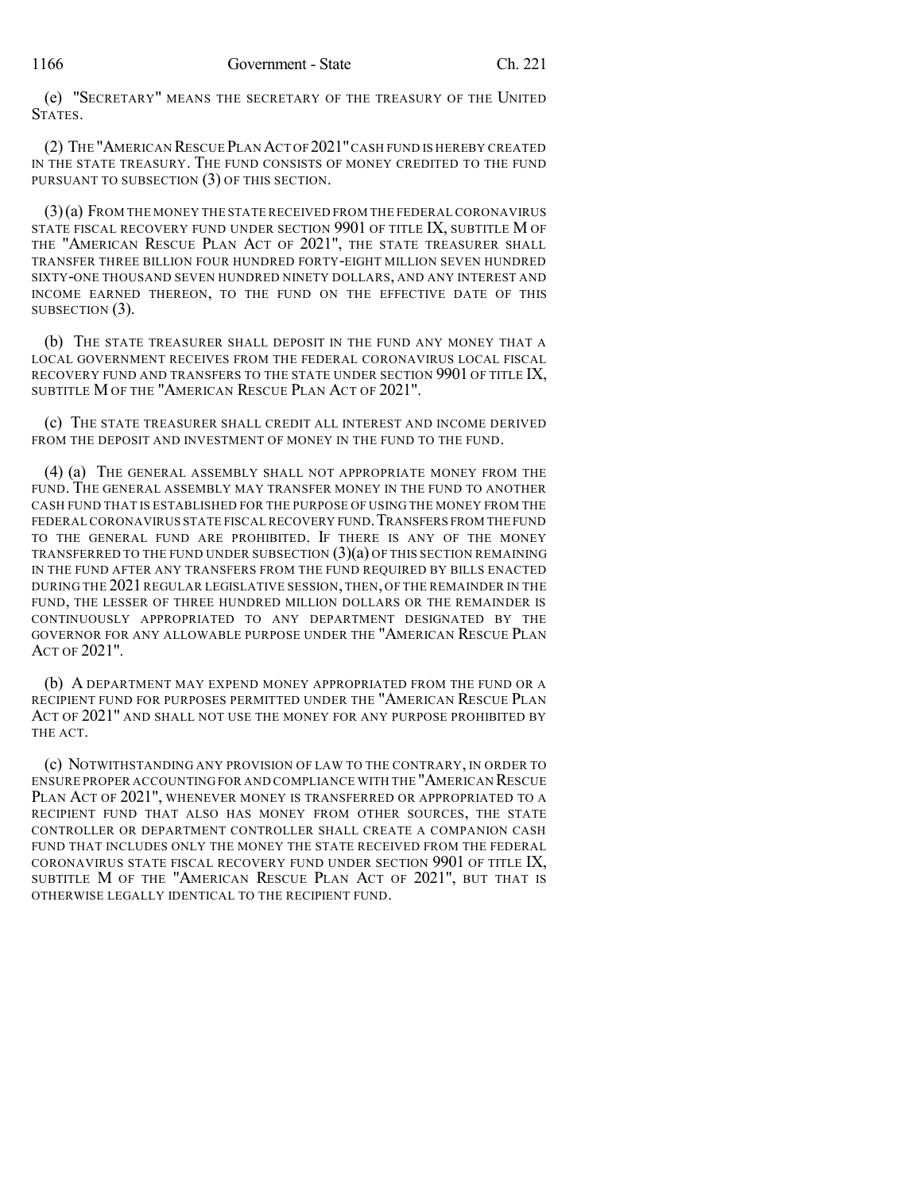(e) "SECRETARY" MEANS THE SECRETARY OF THE TREASURY OF THE UNITED STATES.

(2) THE "AMERICAN RESCUE PLAN ACT OF 2021"CASH FUND IS HEREBY CREATED IN THE STATE TREASURY. THE FUND CONSISTS OF MONEY CREDITED TO THE FUND PURSUANT TO SUBSECTION (3) OF THIS SECTION.

(3)(a) FROM THE MONEY THE STATE RECEIVED FROM THE FEDERAL CORONAVIRUS STATE FISCAL RECOVERY FUND UNDER SECTION 9901 OF TITLE IX, SUBTITLE M OF THE "AMERICAN RESCUE PLAN ACT OF 2021", THE STATE TREASURER SHALL TRANSFER THREE BILLION FOUR HUNDRED FORTY-EIGHT MILLION SEVEN HUNDRED SIXTY-ONE THOUSAND SEVEN HUNDRED NINETY DOLLARS, AND ANY INTEREST AND INCOME EARNED THEREON, TO THE FUND ON THE EFFECTIVE DATE OF THIS SUBSECTION  $(3)$ .

(b) THE STATE TREASURER SHALL DEPOSIT IN THE FUND ANY MONEY THAT A LOCAL GOVERNMENT RECEIVES FROM THE FEDERAL CORONAVIRUS LOCAL FISCAL RECOVERY FUND AND TRANSFERS TO THE STATE UNDER SECTION 9901 OF TITLE IX, SUBTITLE M OF THE "AMERICAN RESCUE PLAN ACT OF 2021".

(c) THE STATE TREASURER SHALL CREDIT ALL INTEREST AND INCOME DERIVED FROM THE DEPOSIT AND INVESTMENT OF MONEY IN THE FUND TO THE FUND.

(4) (a) THE GENERAL ASSEMBLY SHALL NOT APPROPRIATE MONEY FROM THE FUND. THE GENERAL ASSEMBLY MAY TRANSFER MONEY IN THE FUND TO ANOTHER CASH FUND THAT IS ESTABLISHED FOR THE PURPOSE OF USING THE MONEY FROM THE FEDERALCORONAVIRUS STATE FISCAL RECOVERY FUND.TRANSFERS FROM THE FUND TO THE GENERAL FUND ARE PROHIBITED. IF THERE IS ANY OF THE MONEY TRANSFERRED TO THE FUND UNDER SUBSECTION  $(3)(a)$  OF THIS SECTION REMAINING IN THE FUND AFTER ANY TRANSFERS FROM THE FUND REQUIRED BY BILLS ENACTED DURING THE 2021 REGULAR LEGISLATIVE SESSION, THEN, OF THE REMAINDER IN THE FUND, THE LESSER OF THREE HUNDRED MILLION DOLLARS OR THE REMAINDER IS CONTINUOUSLY APPROPRIATED TO ANY DEPARTMENT DESIGNATED BY THE GOVERNOR FOR ANY ALLOWABLE PURPOSE UNDER THE "AMERICAN RESCUE PLAN ACT OF 2021".

(b) A DEPARTMENT MAY EXPEND MONEY APPROPRIATED FROM THE FUND OR A RECIPIENT FUND FOR PURPOSES PERMITTED UNDER THE "AMERICAN RESCUE PLAN ACT OF 2021" AND SHALL NOT USE THE MONEY FOR ANY PURPOSE PROHIBITED BY THE ACT.

(c) NOTWITHSTANDING ANY PROVISION OF LAW TO THE CONTRARY, IN ORDER TO ENSURE PROPER ACCOUNTING FOR AND COMPLIANCE WITH THE "AMERICAN RESCUE PLAN ACT OF 2021", WHENEVER MONEY IS TRANSFERRED OR APPROPRIATED TO A RECIPIENT FUND THAT ALSO HAS MONEY FROM OTHER SOURCES, THE STATE CONTROLLER OR DEPARTMENT CONTROLLER SHALL CREATE A COMPANION CASH FUND THAT INCLUDES ONLY THE MONEY THE STATE RECEIVED FROM THE FEDERAL CORONAVIRUS STATE FISCAL RECOVERY FUND UNDER SECTION 9901 OF TITLE IX, SUBTITLE M OF THE "AMERICAN RESCUE PLAN ACT OF 2021", BUT THAT IS OTHERWISE LEGALLY IDENTICAL TO THE RECIPIENT FUND.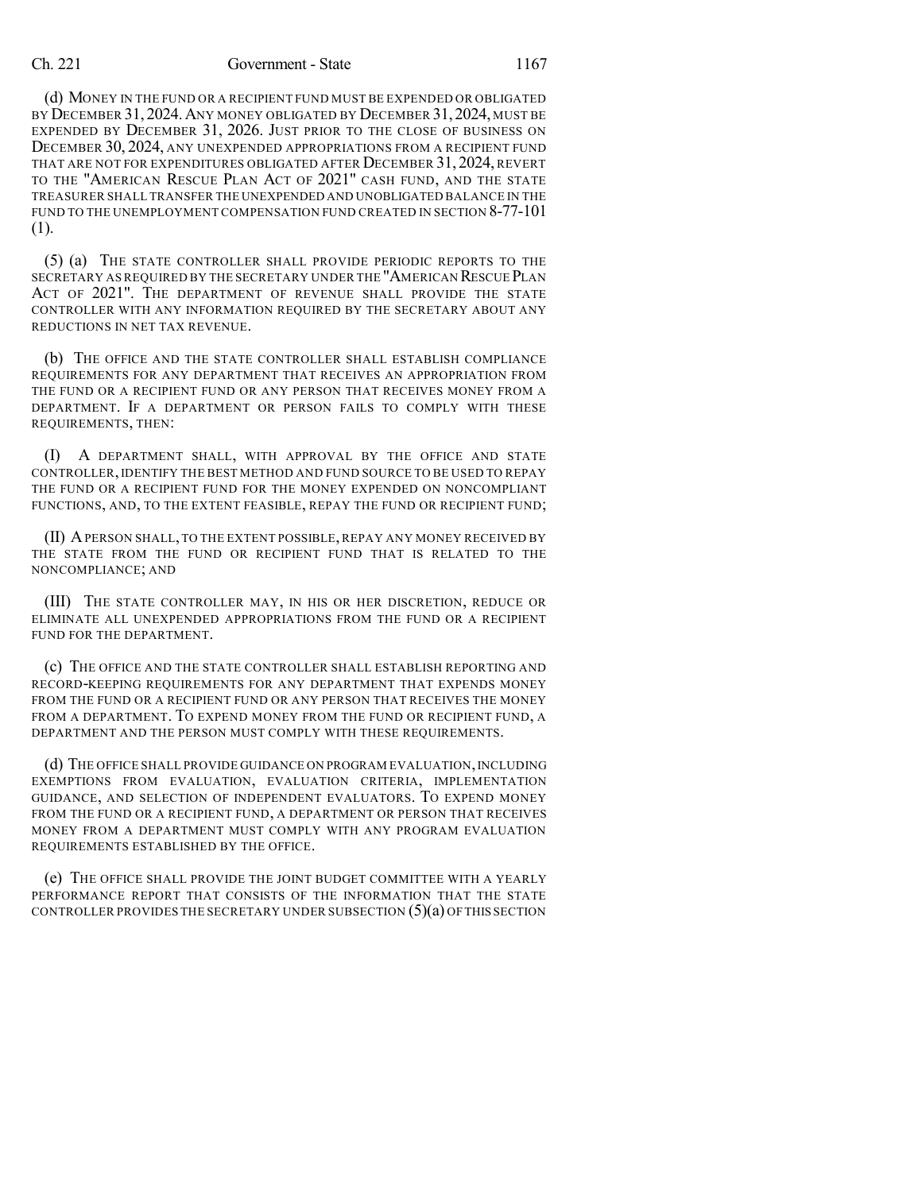## Ch. 221 Government - State 1167

(d) MONEY IN THE FUND OR A RECIPIENT FUND MUST BE EXPENDED OR OBLIGATED BY DECEMBER 31, 2024.ANY MONEY OBLIGATED BY DECEMBER 31,2024, MUST BE EXPENDED BY DECEMBER 31, 2026. JUST PRIOR TO THE CLOSE OF BUSINESS ON DECEMBER 30, 2024, ANY UNEXPENDED APPROPRIATIONS FROM A RECIPIENT FUND THAT ARE NOT FOR EXPENDITURES OBLIGATED AFTER DECEMBER 31, 2024, REVERT TO THE "AMERICAN RESCUE PLAN ACT OF 2021" CASH FUND, AND THE STATE TREASURER SHALL TRANSFER THE UNEXPENDED AND UNOBLIGATED BALANCE IN THE FUND TO THE UNEMPLOYMENT COMPENSATION FUND CREATED IN SECTION 8-77-101 (1).

(5) (a) THE STATE CONTROLLER SHALL PROVIDE PERIODIC REPORTS TO THE SECRETARY AS REQUIRED BY THE SECRETARY UNDER THE "AMERICAN RESCUE PLAN ACT OF 2021". THE DEPARTMENT OF REVENUE SHALL PROVIDE THE STATE CONTROLLER WITH ANY INFORMATION REQUIRED BY THE SECRETARY ABOUT ANY REDUCTIONS IN NET TAX REVENUE.

(b) THE OFFICE AND THE STATE CONTROLLER SHALL ESTABLISH COMPLIANCE REQUIREMENTS FOR ANY DEPARTMENT THAT RECEIVES AN APPROPRIATION FROM THE FUND OR A RECIPIENT FUND OR ANY PERSON THAT RECEIVES MONEY FROM A DEPARTMENT. IF A DEPARTMENT OR PERSON FAILS TO COMPLY WITH THESE REQUIREMENTS, THEN:

(I) A DEPARTMENT SHALL, WITH APPROVAL BY THE OFFICE AND STATE CONTROLLER,IDENTIFY THE BEST METHOD AND FUND SOURCE TO BE USED TO REPAY THE FUND OR A RECIPIENT FUND FOR THE MONEY EXPENDED ON NONCOMPLIANT FUNCTIONS, AND, TO THE EXTENT FEASIBLE, REPAY THE FUND OR RECIPIENT FUND;

(II) APERSON SHALL,TO THE EXTENT POSSIBLE, REPAY ANY MONEY RECEIVED BY THE STATE FROM THE FUND OR RECIPIENT FUND THAT IS RELATED TO THE NONCOMPLIANCE; AND

(III) THE STATE CONTROLLER MAY, IN HIS OR HER DISCRETION, REDUCE OR ELIMINATE ALL UNEXPENDED APPROPRIATIONS FROM THE FUND OR A RECIPIENT FUND FOR THE DEPARTMENT.

(c) THE OFFICE AND THE STATE CONTROLLER SHALL ESTABLISH REPORTING AND RECORD-KEEPING REQUIREMENTS FOR ANY DEPARTMENT THAT EXPENDS MONEY FROM THE FUND OR A RECIPIENT FUND OR ANY PERSON THAT RECEIVES THE MONEY FROM A DEPARTMENT. TO EXPEND MONEY FROM THE FUND OR RECIPIENT FUND, A DEPARTMENT AND THE PERSON MUST COMPLY WITH THESE REQUIREMENTS.

(d) THE OFFICE SHALL PROVIDE GUIDANCE ON PROGRAM EVALUATION,INCLUDING EXEMPTIONS FROM EVALUATION, EVALUATION CRITERIA, IMPLEMENTATION GUIDANCE, AND SELECTION OF INDEPENDENT EVALUATORS. TO EXPEND MONEY FROM THE FUND OR A RECIPIENT FUND, A DEPARTMENT OR PERSON THAT RECEIVES MONEY FROM A DEPARTMENT MUST COMPLY WITH ANY PROGRAM EVALUATION REQUIREMENTS ESTABLISHED BY THE OFFICE.

(e) THE OFFICE SHALL PROVIDE THE JOINT BUDGET COMMITTEE WITH A YEARLY PERFORMANCE REPORT THAT CONSISTS OF THE INFORMATION THAT THE STATE CONTROLLER PROVIDES THE SECRETARY UNDER SUBSECTION  $(5)(a)$  OF THIS SECTION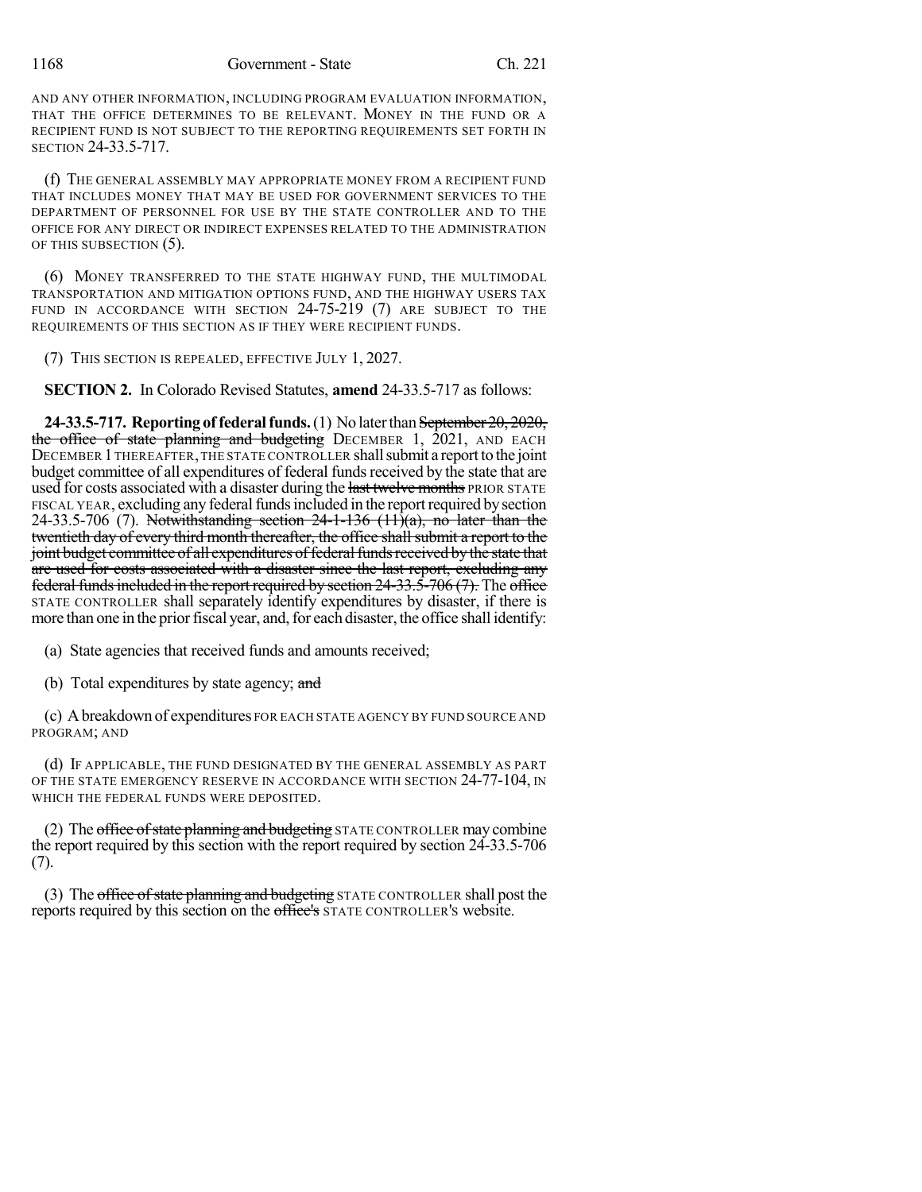AND ANY OTHER INFORMATION, INCLUDING PROGRAM EVALUATION INFORMATION, THAT THE OFFICE DETERMINES TO BE RELEVANT. MONEY IN THE FUND OR A RECIPIENT FUND IS NOT SUBJECT TO THE REPORTING REQUIREMENTS SET FORTH IN SECTION 24-33.5-717.

(f) THE GENERAL ASSEMBLY MAY APPROPRIATE MONEY FROM A RECIPIENT FUND THAT INCLUDES MONEY THAT MAY BE USED FOR GOVERNMENT SERVICES TO THE DEPARTMENT OF PERSONNEL FOR USE BY THE STATE CONTROLLER AND TO THE OFFICE FOR ANY DIRECT OR INDIRECT EXPENSES RELATED TO THE ADMINISTRATION OF THIS SUBSECTION (5).

(6) MONEY TRANSFERRED TO THE STATE HIGHWAY FUND, THE MULTIMODAL TRANSPORTATION AND MITIGATION OPTIONS FUND, AND THE HIGHWAY USERS TAX FUND IN ACCORDANCE WITH SECTION 24-75-219 (7) ARE SUBJECT TO THE REQUIREMENTS OF THIS SECTION AS IF THEY WERE RECIPIENT FUNDS.

(7) THIS SECTION IS REPEALED, EFFECTIVE JULY 1, 2027.

**SECTION 2.** In Colorado Revised Statutes, **amend** 24-33.5-717 as follows:

**24-33.5-717. Reporting of federal funds.** (1) No later than September 20, 2020, the office of state planning and budgeting DECEMBER 1,  $2021$ , AND EACH DECEMBER 1 THEREAFTER, THE STATE CONTROLLER shall submit a report to the joint budget committee of all expenditures of federal fundsreceived by the state that are used for costs associated with a disaster during the last twelve months PRIOR STATE FISCAL YEAR, excluding any federal funds included in the report required by section 24-33.5-706 (7). Notwithstanding section  $24$ -1-136 (11)(a), no later than the twentieth day of every third month thereafter, the office shall submit a report to the joint budget committee of all expenditures of federal funds received by the state that are used for costs associated with a disaster since the last report, excluding any federal funds included in the report required by section  $24-33.5-706(7)$ . The office STATE CONTROLLER shall separately identify expenditures by disaster, if there is more than one in the prior fiscal year, and, for each disaster, the office shall identify:

(a) State agencies that received funds and amounts received;

(b) Total expenditures by state agency; and

(c) Abreakdown of expenditures FOR EACH STATE AGENCY BY FUND SOURCE AND PROGRAM; AND

(d) IF APPLICABLE, THE FUND DESIGNATED BY THE GENERAL ASSEMBLY AS PART OF THE STATE EMERGENCY RESERVE IN ACCORDANCE WITH SECTION 24-77-104, IN WHICH THE FEDERAL FUNDS WERE DEPOSITED.

(2) The office of state planning and budgeting STATE CONTROLLER may combine the report required by this section with the report required by section 24-33.5-706 (7).

(3) The office of state planning and budgeting STATE CONTROLLER shall post the reports required by this section on the office's STATE CONTROLLER'S website.